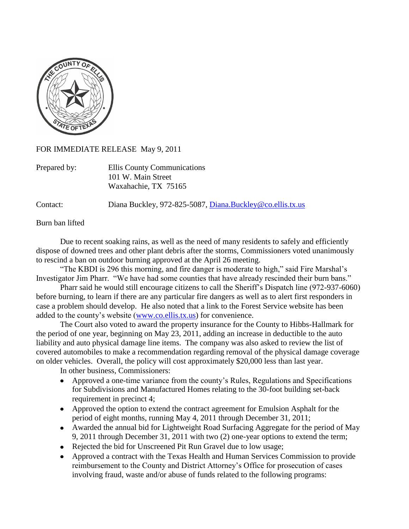

## FOR IMMEDIATE RELEASE May 9, 2011

| Prepared by: | Ellis County Communications |
|--------------|-----------------------------|
|              | 101 W. Main Street          |
|              | Waxahachie, TX 75165        |

Contact: Diana Buckley, 972-825-5087, [Diana.Buckley@co.ellis.tx.us](mailto:Diana.Buckley@co.ellis.tx.us)

Burn ban lifted

Due to recent soaking rains, as well as the need of many residents to safely and efficiently dispose of downed trees and other plant debris after the storms, Commissioners voted unanimously to rescind a ban on outdoor burning approved at the April 26 meeting.

"The KBDI is 296 this morning, and fire danger is moderate to high," said Fire Marshal's Investigator Jim Pharr. "We have had some counties that have already rescinded their burn bans."

Pharr said he would still encourage citizens to call the Sheriff's Dispatch line (972-937-6060) before burning, to learn if there are any particular fire dangers as well as to alert first responders in case a problem should develop. He also noted that a link to the Forest Service website has been added to the county's website [\(www.co.ellis.tx.us\)](http://www.co.ellis.tx.us/) for convenience.

The Court also voted to award the property insurance for the County to Hibbs-Hallmark for the period of one year, beginning on May 23, 2011, adding an increase in deductible to the auto liability and auto physical damage line items. The company was also asked to review the list of covered automobiles to make a recommendation regarding removal of the physical damage coverage on older vehicles. Overall, the policy will cost approximately \$20,000 less than last year.

In other business, Commissioners:

- Approved a one-time variance from the county's Rules, Regulations and Specifications for Subdivisions and Manufactured Homes relating to the 30-foot building set-back requirement in precinct 4;
- Approved the option to extend the contract agreement for Emulsion Asphalt for the period of eight months, running May 4, 2011 through December 31, 2011;
- Awarded the annual bid for Lightweight Road Surfacing Aggregate for the period of May 9, 2011 through December 31, 2011 with two (2) one-year options to extend the term;
- Rejected the bid for Unscreened Pit Run Gravel due to low usage;
- Approved a contract with the Texas Health and Human Services Commission to provide reimbursement to the County and District Attorney's Office for prosecution of cases involving fraud, waste and/or abuse of funds related to the following programs: